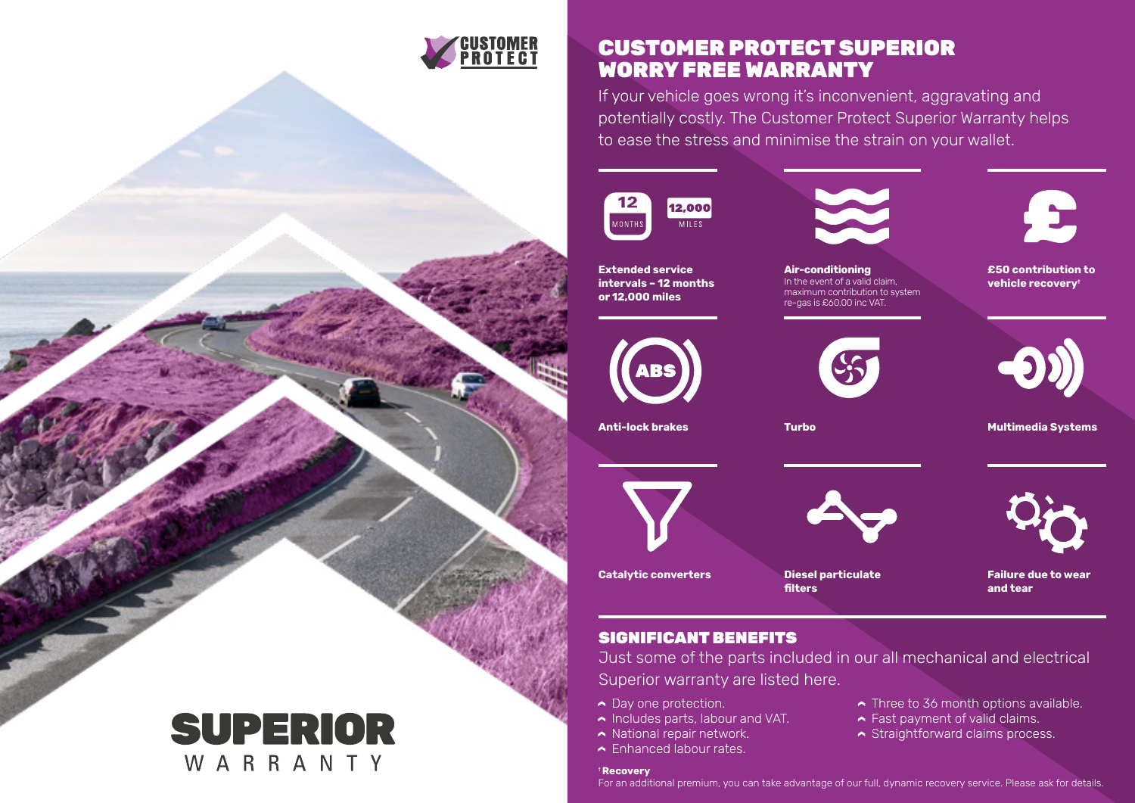

### CUSTOMER PROTECT SUPERIOR WORRY FREE WARRANTY

If your vehicle goes wrong it's inconvenient, aggravating and potentially costly. The Customer Protect Superior Warranty helps to ease the stress and minimise the strain on your wallet.





**Air-conditioning** In the event of a valid claim, maximum contribution to system re-gas is £60.00 inc VAT.



**£50 contribution to vehicle recovery**†



**Multimedia Systems**



**Extended service intervals – 12 months or 12,000 miles**











**Diesel particulate** 

**filters**



**Failure due to wear and tear**

Three to 36 month options available. **► Fast payment of valid claims.**  $\sim$  Straightforward claims process.

## SIGNIFICANT BENEFITS

Just some of the parts included in our all mechanical and electrical Superior warranty are listed here.

**►** Day one protection.

**Catalytic converters**

- **►** Includes parts, labour and VAT.
- $\sim$  National repair network.
- **► Enhanced labour rates.**

### † **Recovery**

For an additional premium, you can take advantage of our full, dynamic recovery service. Please ask for details.